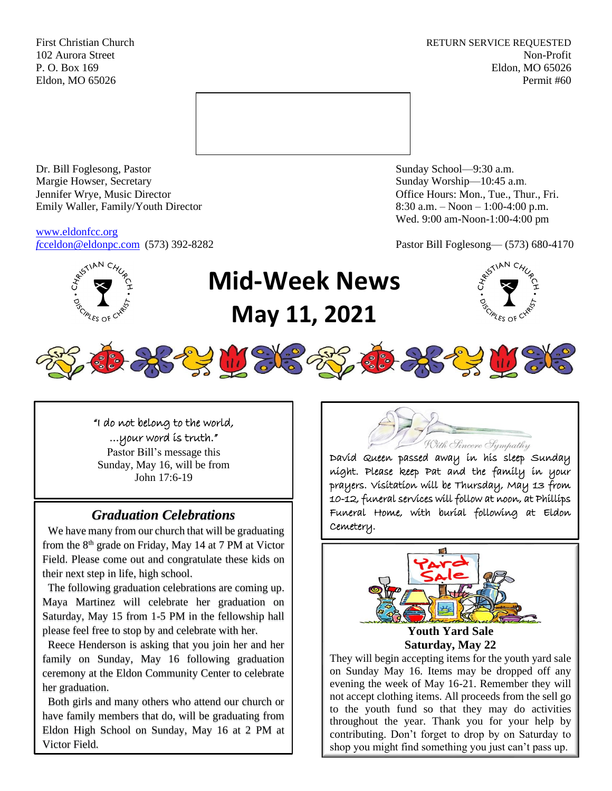First Christian Church **RETURN SERVICE REQUESTED** 102 Aurora Street Non-Profit P. O. Box 169 Eldon, MO 65026 Eldon, MO 65026 Permit #60



Dr. Bill Foglesong, Pastor Sunday School—9:30 a.m. Margie Howser, Secretary Sunday Worship—10:45 a.m. Jennifer Wrye, Music Director Office Hours: Mon., Tue., Thur., Fri. Emily Waller, Family/Youth Director 8:30 a.m. – Noon – 1:00-4:00 p.m.

[www.eldonfcc.org](http://www.eldonfcc.org/)

Wed. 9:00 am-Noon-1:00-4:00 pm

*f*[cceldon@eldonpc.com](mailto:fcceldon@eldonpc.com) (573) 392-8282 Pastor Bill Foglesong— (573) 680-4170



# **Mid-Week News May 11, 2021**





# *Graduation Celebrations*

 We have many from our church that will be graduating from the  $8<sup>th</sup>$  grade on Friday, May 14 at 7 PM at Victor Field. Please come out and congratulate these kids on their next step in life, high school.

 The following graduation celebrations are coming up. Maya Martinez will celebrate her graduation on Saturday, May 15 from 1-5 PM in the fellowship hall please feel free to stop by and celebrate with her.

 Reece Henderson is asking that you join her and her family on Sunday, May 16 following graduation ceremony at the Eldon Community Center to celebrate her graduation.

 Both girls and many others who attend our church or have family members that do, will be graduating from Eldon High School on Sunday, May 16 at 2 PM at Victor Field.



David Queen passed away in his sleep Sunday night. Please keep Pat and the family in your prayers. Visitation will be Thursday, May 13 from 10-12, funeral services will follow at noon, at Phillips Funeral Home, with burial following at Eldon Cemetery.



**Youth Yard Sale Saturday, May 22**

They will begin accepting items for the youth yard sale on Sunday May 16. Items may be dropped off any evening the week of May 16-21. Remember they will not accept clothing items. All proceeds from the sell go to the youth fund so that they may do activities throughout the year. Thank you for your help by contributing. Don't forget to drop by on Saturday to shop you might find something you just can't pass up.